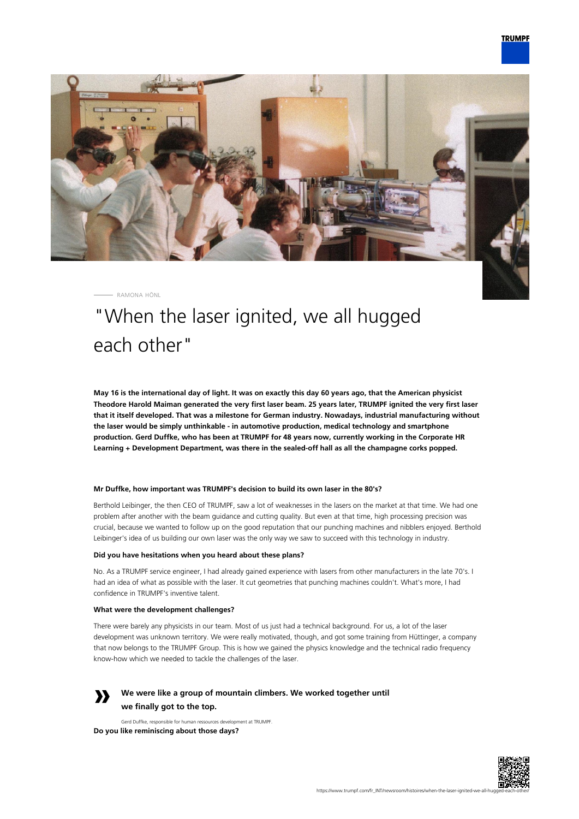

RAMONA HÖNL

# "When the laser ignited, we all hugged each other"

**May 16 is the international day of light. It was on exactly this day 60 years ago, that the American physicist Theodore Harold Maiman generated the very first laser beam. 25 years later, TRUMPF ignited the very first laser that it itself developed. That was a milestone for German industry. Nowadays, industrial manufacturing without the laser would be simply unthinkable - in automotive production, medical technology and smartphone production. Gerd Duffke, who has been at TRUMPF for 48 years now, currently working in the Corporate HR Learning + Development Department, was there in the sealed-off hall as all the champagne corks popped.**

#### **Mr Duffke, how important was TRUMPF's decision to build its own laser in the 80's?**

Berthold Leibinger, the then CEO of TRUMPF, saw a lot of weaknesses in the lasers on the market at that time. We had one problem after another with the beam guidance and cutting quality. But even at that time, high processing precision was crucial, because we wanted to follow up on the good reputation that our punching machines and nibblers enjoyed. Berthold Leibinger's idea of us building our own laser was the only way we saw to succeed with this technology in industry.

#### **Did you have hesitations when you heard about these plans?**

No. As a TRUMPF service engineer, I had already gained experience with lasers from other manufacturers in the late 70's. I had an idea of what as possible with the laser. It cut geometries that punching machines couldn't. What's more, I had confidence in TRUMPF's inventive talent.

#### **What were the development challenges?**

There were barely any physicists in our team. Most of us just had a technical background. For us, a lot of the laser development was unknown territory. We were really motivated, though, and got some training from Hüttinger, a company that now belongs to the TRUMPF Group. This is how we gained the physics knowledge and the technical radio frequency know-how which we needed to tackle the challenges of the laser.



## **We were like a group of mountain climbers. We worked together until we finally got to the top.**

Gerd Duffke, responsible for human ressources development at TRUMPF. **Do you like reminiscing about those days?**